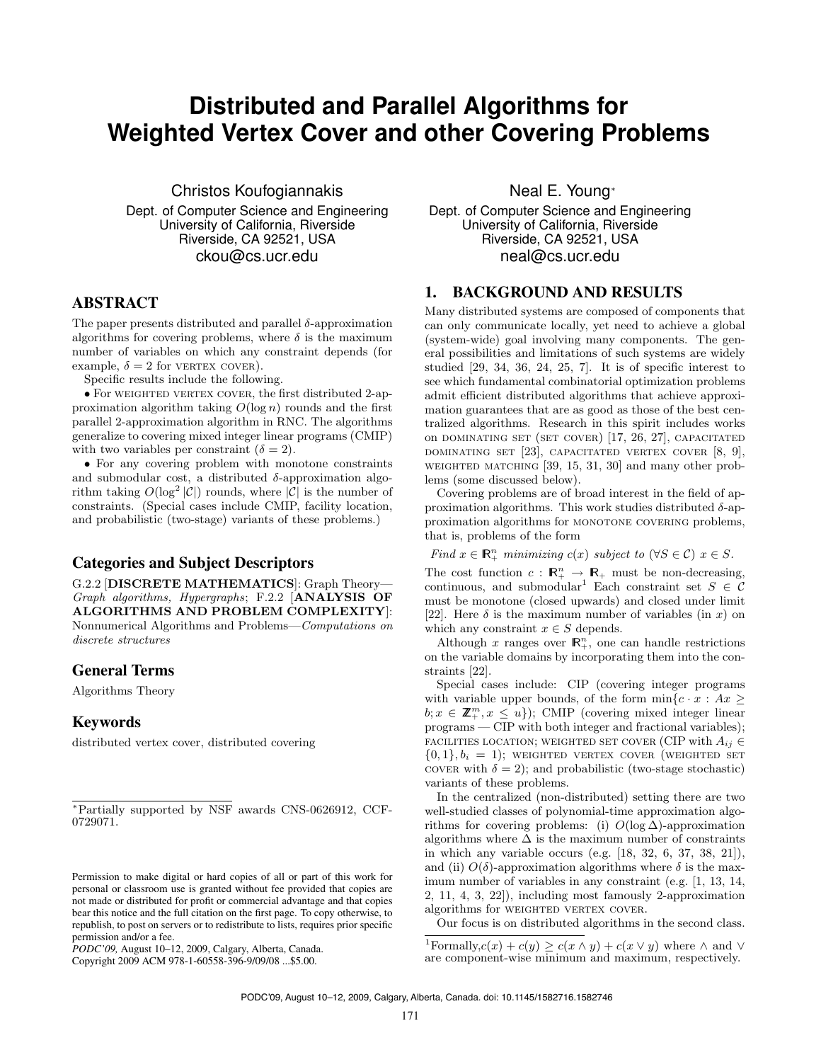# **Distributed and Parallel Algorithms for Weighted Vertex Cover and other Covering Problems**

Christos Koufogiannakis

Dept. of Computer Science and Engineering University of California, Riverside Riverside, CA 92521, USA ckou@cs.ucr.edu

# ABSTRACT

The paper presents distributed and parallel  $\delta$ -approximation algorithms for covering problems, where  $\delta$  is the maximum number of variables on which any constraint depends (for example,  $\delta = 2$  for vERTEX COVER).

Specific results include the following.

• For WEIGHTED VERTEX COVER, the first distributed 2-approximation algorithm taking *O*(log *n*) rounds and the first parallel 2-approximation algorithm in RNC. The algorithms generalize to covering mixed integer linear programs (CMIP) with two variables per constraint  $(\delta = 2)$ .

*•* For any covering problem with monotone constraints and submodular cost, a distributed  $\delta$ -approximation algorithm taking  $O(\log^2 |\mathcal{C}|)$  rounds, where  $|\mathcal{C}|$  is the number of constraints. (Special cases include CMIP, facility location, and probabilistic (two-stage) variants of these problems.)

# Categories and Subject Descriptors

G.2.2 [DISCRETE MATHEMATICS]: Graph Theory— *Graph algorithms, Hypergraphs*; F.2.2 [ANALYSIS OF ALGORITHMS AND PROBLEM COMPLEXITY]: Nonnumerical Algorithms and Problems—*Computations on discrete structures*

## General Terms

Algorithms Theory

# Keywords

distributed vertex cover, distributed covering

Copyright 2009 ACM 978-1-60558-396-9/09/08 ...\$5.00.

Neal E. Young<sup>®</sup>

Dept. of Computer Science and Engineering University of California, Riverside Riverside, CA 92521, USA neal@cs.ucr.edu

## 1. BACKGROUND AND RESULTS

Many distributed systems are composed of components that can only communicate locally, yet need to achieve a global (system-wide) goal involving many components. The general possibilities and limitations of such systems are widely studied [29, 34, 36, 24, 25, 7]. It is of specific interest to see which fundamental combinatorial optimization problems admit efficient distributed algorithms that achieve approximation guarantees that are as good as those of the best centralized algorithms. Research in this spirit includes works on dominating set (set cover) [17, 26, 27], capacitated dominating set [23], capacitated vertex cover [8, 9], WEIGHTED MATCHING  $[39, 15, 31, 30]$  and many other problems (some discussed below).

Covering problems are of broad interest in the field of approximation algorithms. This work studies distributed  $\delta$ -approximation algorithms for MONOTONE COVERING problems, that is, problems of the form

*Find*  $x \in \mathbb{R}_+^n$  *minimizing*  $c(x)$  *subject to*  $(\forall S \in \mathcal{C})$   $x \in S$ *.* 

The cost function  $c : \mathbb{R}^n_+ \to \mathbb{R}_+$  must be non-decreasing, continuous, and submodular<sup>1</sup> Each constraint set  $S \in \mathcal{C}$ must be monotone (closed upwards) and closed under limit [22]. Here  $\delta$  is the maximum number of variables (in *x*) on which any constraint  $x \in S$  depends.

Although  $x$  ranges over  $\mathbb{R}^n_+$ , one can handle restrictions on the variable domains by incorporating them into the constraints [22].

Special cases include: CIP (covering integer programs with variable upper bounds, of the form  $\min\{c \cdot x : Ax \geq 0\}$  $b; x \in \mathbb{Z}_+^m, x \leq u$ }); CMIP (covering mixed integer linear programs — CIP with both integer and fractional variables); FACILITIES LOCATION; WEIGHTED SET COVER (CIP with  $A_{ij} \in$  $\{0,1\}, b_i = 1$ ); weighted vertex cover (weighted set cover with  $\delta = 2$ ; and probabilistic (two-stage stochastic) variants of these problems.

In the centralized (non-distributed) setting there are two well-studied classes of polynomial-time approximation algorithms for covering problems: (i)  $O(\log \Delta)$ -approximation algorithms where  $\Delta$  is the maximum number of constraints in which any variable occurs (e.g. [18, 32, 6, 37, 38, 21]), and (ii)  $O(\delta)$ -approximation algorithms where  $\delta$  is the maximum number of variables in any constraint (e.g. [1, 13, 14, 2, 11, 4, 3, 22]), including most famously 2-approximation algorithms for WEIGHTED VERTEX COVER.

Our focus is on distributed algorithms in the second class.

<sup>⇤</sup>Partially supported by NSF awards CNS-0626912, CCF-0729071.

Permission to make digital or hard copies of all or part of this work for personal or classroom use is granted without fee provided that copies are not made or distributed for profit or commercial advantage and that copies bear this notice and the full citation on the first page. To copy otherwise, to republish, to post on servers or to redistribute to lists, requires prior specific permission and/or a fee.

*PODC'09,* August 10–12, 2009, Calgary, Alberta, Canada.

<sup>&</sup>lt;sup>1</sup>Formally, $c(x) + c(y) \ge c(x \wedge y) + c(x \vee y)$  where  $\wedge$  and  $\vee$ are component-wise minimum and maximum, respectively.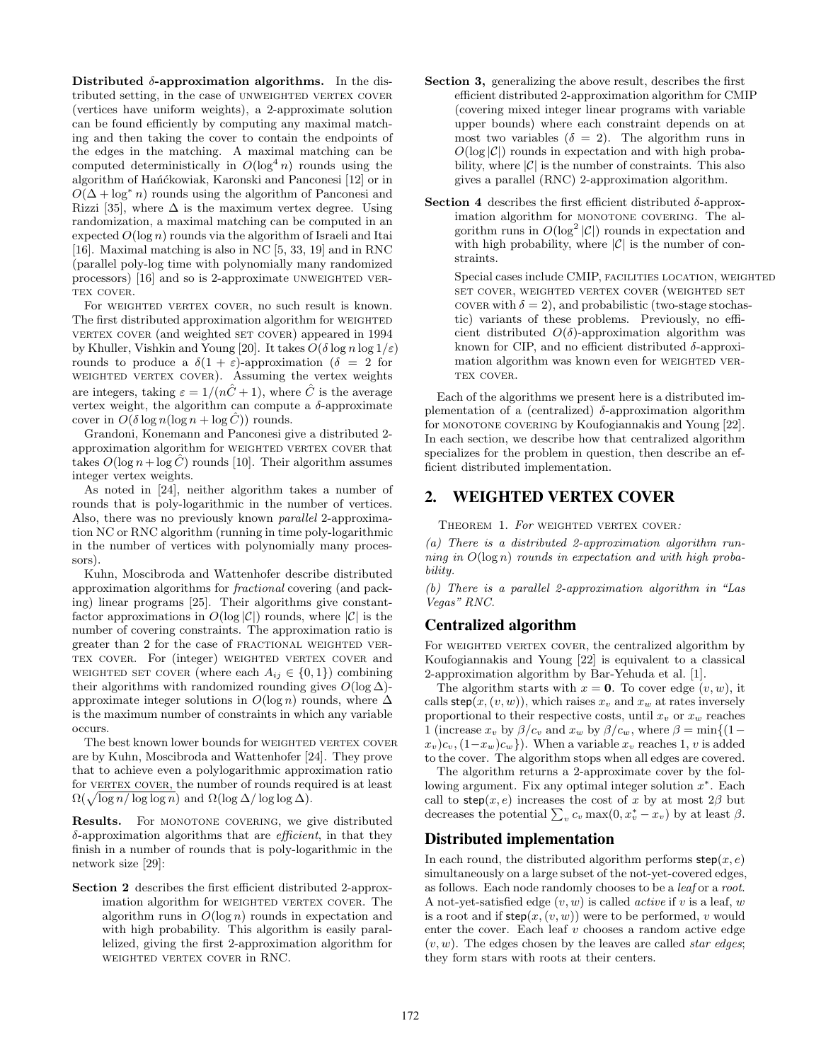Distributed  $\delta$ -approximation algorithms. In the distributed setting, in the case of UNWEIGHTED VERTEX COVER (vertices have uniform weights), a 2-approximate solution can be found efficiently by computing any maximal matching and then taking the cover to contain the endpoints of the edges in the matching. A maximal matching can be computed deterministically in  $O(\log^4 n)$  rounds using the algorithm of Hańćkowiak, Karonski and Panconesi [12] or in  $O(\Delta + \log^* n)$  rounds using the algorithm of Panconesi and Rizzi [35], where  $\Delta$  is the maximum vertex degree. Using randomization, a maximal matching can be computed in an expected  $O(\log n)$  rounds via the algorithm of Israeli and Itai [16]. Maximal matching is also in NC [5, 33, 19] and in RNC (parallel poly-log time with polynomially many randomized processors)  $[16]$  and so is 2-approximate UNWEIGHTED VER-TEX COVER.

For WEIGHTED VERTEX COVER, no such result is known. The first distributed approximation algorithm for WEIGHTED vERTEX COVER (and weighted SET COVER) appeared in 1994 by Khuller, Vishkin and Young [20]. It takes  $O(\delta \log n \log 1/\varepsilon)$ rounds to produce a  $\delta(1 + \varepsilon)$ -approximation  $(\delta = 2$  for WEIGHTED VERTEX COVER). Assuming the vertex weights are integers, taking  $\varepsilon = 1/(n\hat{C} + 1)$ , where  $\hat{C}$  is the average vertex weight, the algorithm can compute a  $\delta$ -approximate cover in  $O(\delta \log n (\log n + \log \hat{C}))$  rounds.

Grandoni, Konemann and Panconesi give a distributed 2 approximation algorithm for WEIGHTED VERTEX COVER that takes  $O(\log n + \log \hat{C})$  rounds [10]. Their algorithm assumes integer vertex weights.

As noted in [24], neither algorithm takes a number of rounds that is poly-logarithmic in the number of vertices. Also, there was no previously known *parallel* 2-approximation NC or RNC algorithm (running in time poly-logarithmic in the number of vertices with polynomially many processors).

Kuhn, Moscibroda and Wattenhofer describe distributed approximation algorithms for *fractional* covering (and packing) linear programs [25]. Their algorithms give constantfactor approximations in  $O(\log |\mathcal{C}|)$  rounds, where  $|\mathcal{C}|$  is the number of covering constraints. The approximation ratio is greater than 2 for the case of fractional weighted ver-TEX COVER. For (integer) WEIGHTED VERTEX COVER and WEIGHTED SET COVER (where each  $A_{ij} \in \{0, 1\}$ ) combining their algorithms with randomized rounding gives  $O(\log \Delta)$ approximate integer solutions in  $O(\log n)$  rounds, where  $\Delta$ is the maximum number of constraints in which any variable occurs.

The best known lower bounds for WEIGHTED VERTEX COVER are by Kuhn, Moscibroda and Wattenhofer [24]. They prove that to achieve even a polylogarithmic approximation ratio for VERTEX COVER, the number of rounds required is at least  $\Omega(\sqrt{\log n/\log\log n})$  and  $\Omega(\log \Delta/\log\log \Delta)$ .

**Results.** For MONOTONE COVERING, we give distributed -approximation algorithms that are *ecient*, in that they finish in a number of rounds that is poly-logarithmic in the network size [29]:

Section 2 describes the first efficient distributed 2-approximation algorithm for WEIGHTED VERTEX COVER. The algorithm runs in *O*(log *n*) rounds in expectation and with high probability. This algorithm is easily parallelized, giving the first 2-approximation algorithm for weighted vertex cover in RNC.

- Section 3, generalizing the above result, describes the first efficient distributed 2-approximation algorithm for CMIP (covering mixed integer linear programs with variable upper bounds) where each constraint depends on at most two variables  $(\delta = 2)$ . The algorithm runs in  $O(\log |\mathcal{C}|)$  rounds in expectation and with high probability, where  $|\mathcal{C}|$  is the number of constraints. This also gives a parallel (RNC) 2-approximation algorithm.
- Section 4 describes the first efficient distributed  $\delta$ -approximation algorithm for MONOTONE COVERING. The algorithm runs in  $O(\log^2 |\mathcal{C}|)$  rounds in expectation and with high probability, where  $|\mathcal{C}|$  is the number of constraints.

Special cases include CMIP, FACILITIES LOCATION, WEIGHTED set cover, weighted vertex cover (weighted set cover with  $\delta = 2$ ), and probabilistic (two-stage stochastic) variants of these problems. Previously, no efficient distributed  $O(\delta)$ -approximation algorithm was known for CIP, and no efficient distributed  $\delta$ -approximation algorithm was known even for WEIGHTED VER-TEX COVER.

Each of the algorithms we present here is a distributed implementation of a (centralized)  $\delta$ -approximation algorithm for MONOTONE COVERING by Koufogiannakis and Young [22]. In each section, we describe how that centralized algorithm specializes for the problem in question, then describe an efficient distributed implementation.

# 2. WEIGHTED VERTEX COVER

Theorem 1. *For* weighted vertex cover*:*

*(a) There is a distributed 2-approximation algorithm running in O*(log *n*) *rounds in expectation and with high probability.*

*(b) There is a parallel 2-approximation algorithm in "Las Vegas" RNC.*

# Centralized algorithm

For WEIGHTED VERTEX COVER, the centralized algorithm by Koufogiannakis and Young [22] is equivalent to a classical 2-approximation algorithm by Bar-Yehuda et al. [1].

The algorithm starts with  $x = 0$ . To cover edge  $(v, w)$ , it calls  $\mathsf{step}(x, (v, w))$ , which raises  $x_v$  and  $x_w$  at rates inversely proportional to their respective costs, until  $x_v$  or  $x_w$  reaches 1 (increase  $x_v$  by  $\beta/c_v$  and  $x_w$  by  $\beta/c_w$ , where  $\beta = \min\{(1-\alpha)\}$  $(x_v)c_v$ ,  $(1-x_w)c_w$ }). When a variable  $x_v$  reaches 1, *v* is added to the cover. The algorithm stops when all edges are covered.

The algorithm returns a 2-approximate cover by the following argument. Fix any optimal integer solution  $x^*$ . Each call to step $(x, e)$  increases the cost of x by at most  $2\beta$  but decreases the potential  $\sum_{v} c_v \max(0, x_v^* - x_v)$  by at least  $\beta$ .

# Distributed implementation

In each round, the distributed algorithm performs  $\mathsf{step}(x, e)$ simultaneously on a large subset of the not-yet-covered edges, as follows. Each node randomly chooses to be a *leaf* or a *root*. A not-yet-satisfied edge (*v, w*) is called *active* if *v* is a leaf, *w* is a root and if  $\mathsf{step}(x, (v, w))$  were to be performed, *v* would enter the cover. Each leaf *v* chooses a random active edge (*v, w*). The edges chosen by the leaves are called *star edges*; they form stars with roots at their centers.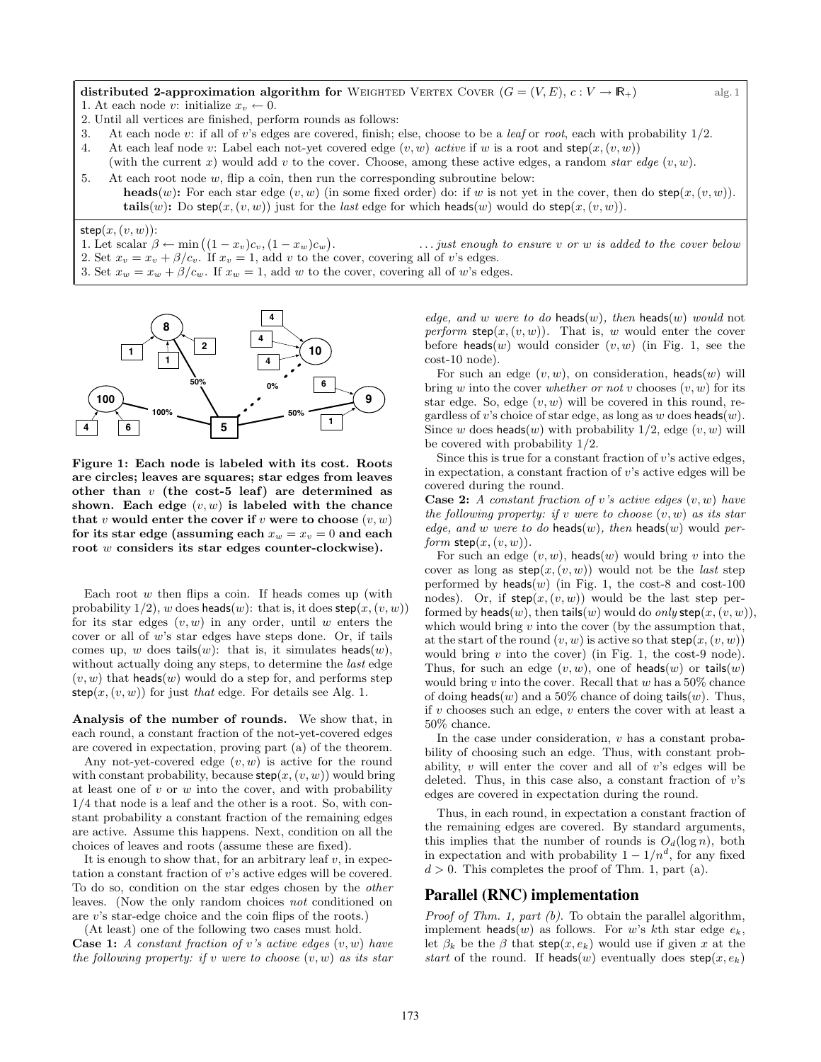distributed 2-approximation algorithm for WEIGHTED VERTEX COVER  $(G = (V, E), c : V \to \mathbb{R}_+)$  alg. 1 1. At each node *v*: initialize  $x_v \leftarrow 0$ .

- 2. Until all vertices are finished, perform rounds as follows:
- 3. At each node *v*: if all of *v*'s edges are covered, finish; else, choose to be a *leaf* or *root*, each with probability 1/2.
- 4. At each leaf node *v*: Label each not-yet covered edge  $(v, w)$  *active* if *w* is a root and  $\mathsf{step}(x, (v, w))$
- (with the current x) would add v to the cover. Choose, among these active edges, a random *star edge*  $(v, w)$ . 5. At each root node *w*, flip a coin, then run the corresponding subroutine below:
- heads(*w*): For each star edge  $(v, w)$  (in some fixed order) do: if *w* is not yet in the cover, then do step( $x, (v, w)$ ). tails(*w*): Do step(*x*, (*v*, *w*)) just for the *last* edge for which heads(*w*) would do step(*x*, (*v*, *w*)).

#### $step(x, (v, w))$ :

1. Let scalar  $\beta \leftarrow \min \left( (1 - x_v)c_v, (1 - x_w)c_w \right)$ 

. *... just enough to ensure v or w is added to the cover below* 2. Set  $x_v = x_v + \beta/c_v$ . If  $x_v = 1$ , add *v* to the cover, covering all of *v*'s edges. 3. Set  $x_w = x_w + \beta/c_w$ . If  $x_w = 1$ , add w to the cover, covering all of w's edges.



Figure 1: Each node is labeled with its cost. Roots are circles; leaves are squares; star edges from leaves other than *v* (the cost-5 leaf) are determined as shown. Each edge  $(v, w)$  is labeled with the chance that *v* would enter the cover if *v* were to choose  $(v, w)$ for its star edge (assuming each  $x_w = x_v = 0$  and each root *w* considers its star edges counter-clockwise).

Each root *w* then flips a coin. If heads comes up (with probability  $1/2$ , *w* does heads(*w*): that is, it does step(*x*, (*v*, *w*)) for its star edges (*v, w*) in any order, until *w* enters the cover or all of *w*'s star edges have steps done. Or, if tails comes up, *w* does tails $(w)$ : that is, it simulates heads $(w)$ , without actually doing any steps, to determine the *last* edge  $(v, w)$  that heads  $(w)$  would do a step for, and performs step step $(x, (v, w))$  for just *that* edge. For details see Alg. 1.

Analysis of the number of rounds. We show that, in each round, a constant fraction of the not-yet-covered edges are covered in expectation, proving part (a) of the theorem.

Any not-yet-covered edge (*v, w*) is active for the round with constant probability, because  $\mathsf{step}(x, (v, w))$  would bring at least one of *v* or *w* into the cover, and with probability 1/4 that node is a leaf and the other is a root. So, with constant probability a constant fraction of the remaining edges are active. Assume this happens. Next, condition on all the choices of leaves and roots (assume these are fixed).

It is enough to show that, for an arbitrary leaf  $v$ , in expectation a constant fraction of *v*'s active edges will be covered. To do so, condition on the star edges chosen by the *other* leaves. (Now the only random choices *not* conditioned on are *v*'s star-edge choice and the coin flips of the roots.)

(At least) one of the following two cases must hold. Case 1: *A constant fraction of v's active edges* (*v, w*) *have the following property: if v were to choose* (*v, w*) *as its star*

*edge, and w were to do* heads(*w*)*, then* heads(*w*) *would* not *perform* step $(x, (v, w))$ . That is, *w* would enter the cover before heads $(w)$  would consider  $(v, w)$  (in Fig. 1, see the cost-10 node).

For such an edge  $(v, w)$ , on consideration, heads $(w)$  will bring *w* into the cover *whether or not v* chooses (*v, w*) for its star edge. So, edge (*v, w*) will be covered in this round, regardless of *v*'s choice of star edge, as long as *w* does heads(*w*). Since *w* does heads(*w*) with probability  $1/2$ , edge  $(v, w)$  will be covered with probability 1/2.

Since this is true for a constant fraction of *v*'s active edges, in expectation, a constant fraction of *v*'s active edges will be covered during the round.

Case 2: *A constant fraction of v's active edges* (*v, w*) *have the following property: if v were to choose* (*v, w*) *as its star edge, and w were to do* heads(*w*)*, then* heads(*w*) would *perform*  $step(x, (v, w))$ *.* 

For such an edge  $(v, w)$ , heads  $(w)$  would bring  $v$  into the cover as long as  $\mathsf{step}(x, (v, w))$  would not be the *last* step performed by  $heads(w)$  (in Fig. 1, the cost-8 and cost-100 nodes). Or, if  $step(x,(v,w))$  would be the last step performed by heads $(w)$ , then tails $(w)$  would do *only* step $(x, (v, w))$ , which would bring *v* into the cover (by the assumption that, at the start of the round  $(v, w)$  is active so that  $step(x, (v, w))$ would bring *v* into the cover) (in Fig. 1, the cost-9 node). Thus, for such an edge  $(v, w)$ , one of heads $(w)$  or tails $(w)$ would bring *v* into the cover. Recall that *w* has a 50% chance of doing heads(*w*) and a 50% chance of doing tails(*w*). Thus, if *v* chooses such an edge, *v* enters the cover with at least a 50% chance.

In the case under consideration, *v* has a constant probability of choosing such an edge. Thus, with constant probability, *v* will enter the cover and all of *v*'s edges will be deleted. Thus, in this case also, a constant fraction of *v*'s edges are covered in expectation during the round.

Thus, in each round, in expectation a constant fraction of the remaining edges are covered. By standard arguments, this implies that the number of rounds is  $O_d(\log n)$ , both in expectation and with probability  $1 - 1/n^d$ , for any fixed  $d > 0$ . This completes the proof of Thm. 1, part (a).

#### Parallel (RNC) implementation

*Proof of Thm. 1, part (b)*. To obtain the parallel algorithm, implement heads(*w*) as follows. For *w*'s *k*th star edge  $e_k$ , let  $\beta_k$  be the  $\beta$  that step(*x, e<sub>k</sub>*) would use if given *x* at the *start* of the round. If heads(*w*) eventually does  $step(x, e_k)$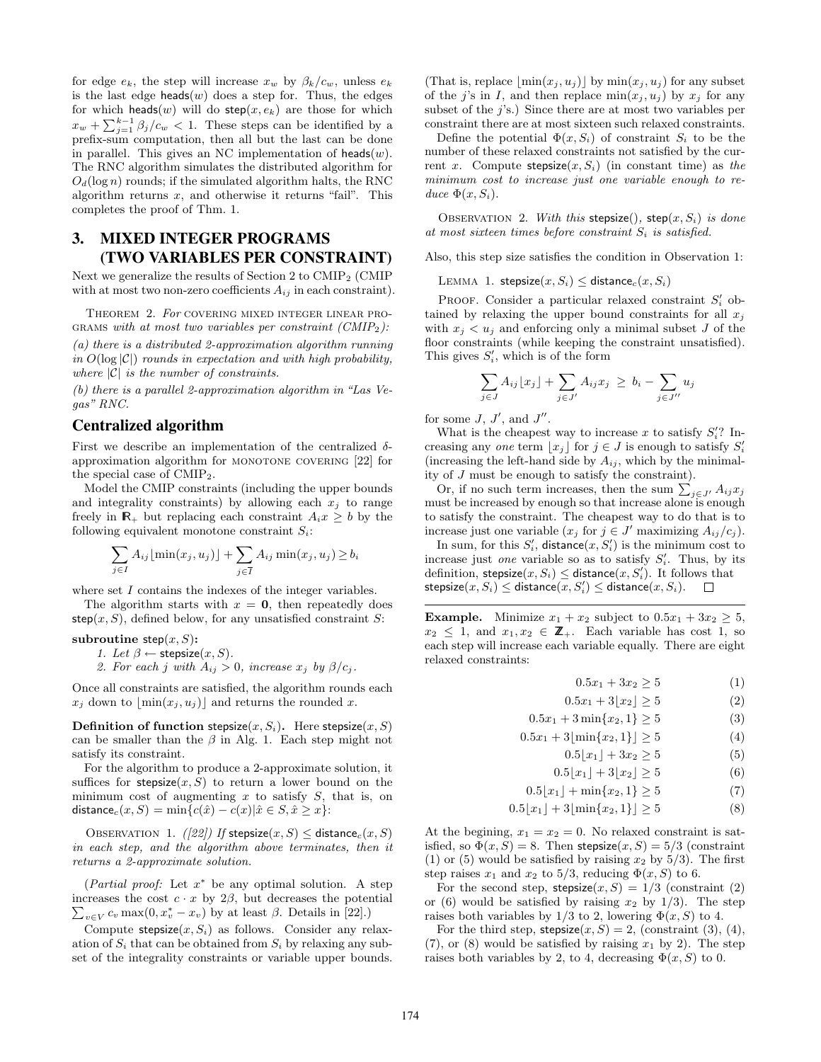for edge  $e_k$ , the step will increase  $x_w$  by  $\beta_k/c_w$ , unless  $e_k$ is the last edge heads $(w)$  does a step for. Thus, the edges for which heads(*w*) will do  $step(x, e_k)$  are those for which  $x_w + \sum_{j=1}^{k-1} \beta_j/c_w < 1$ . These steps can be identified by a prefix-sum computation, then all but the last can be done in parallel. This gives an NC implementation of heads(*w*). The RNC algorithm simulates the distributed algorithm for  $O_d(\log n)$  rounds; if the simulated algorithm halts, the RNC algorithm returns *x*, and otherwise it returns "fail". This completes the proof of Thm. 1.

# 3. MIXED INTEGER PROGRAMS (TWO VARIABLES PER CONSTRAINT)

Next we generalize the results of Section 2 to CMIP<sub>2</sub> (CMIP) with at most two non-zero coefficients  $A_{ij}$  in each constraint).

Theorem 2. *For* covering mixed integer linear programs *with at most two variables per constraint (CMIP*2*):*

*(a) there is a distributed 2-approximation algorithm running in*  $O(\log |\mathcal{C}|)$  *rounds in expectation and with high probability, where |C| is the number of constraints.*

*(b) there is a parallel 2-approximation algorithm in "Las Vegas" RNC.*

## Centralized algorithm

First we describe an implementation of the centralized  $\delta$ approximation algorithm for MONOTONE COVERING [22] for the special case of  $CMIP<sub>2</sub>$ .

Model the CMIP constraints (including the upper bounds and integrality constraints) by allowing each  $x_j$  to range freely in  $\mathbb{R}_+$  but replacing each constraint  $A_i x \geq b$  by the following equivalent monotone constraint *Si*:

$$
\sum_{j \in I} A_{ij} \lfloor \min(x_j, u_j) \rfloor + \sum_{j \in \overline{I}} A_{ij} \min(x_j, u_j) \ge b_i
$$

where set *I* contains the indexes of the integer variables.

The algorithm starts with  $x = 0$ , then repeatedly does step $(x, S)$ , defined below, for any unsatisfied constraint *S*:

subroutine  $step(x, S)$ :

*1. Let*  $\beta \leftarrow$  stepsize $(x, S)$ *.* 

2. For each *j* with  $A_{ij} > 0$ , increase  $x_j$  by  $\beta/c_j$ .

Once all constraints are satisfied, the algorithm rounds each  $x_i$  down to  $|\min(x_i, u_i)|$  and returns the rounded *x*.

**Definition of function stepsize** $(x, S_i)$ . Here stepsize $(x, S)$ can be smaller than the  $\beta$  in Alg. 1. Each step might not satisfy its constraint.

For the algorithm to produce a 2-approximate solution, it suffices for **stepsize** $(x, S)$  to return a lower bound on the minimum cost of augmenting *x* to satisfy *S*, that is, on distance<sub>*c*</sub>(*x*, *S*) =  $\min\{c(\hat{x}) - c(x)|\hat{x} \in S, \hat{x} \geq x\}$ :

OBSERVATION 1. *([22])* If stepsize $(x, S) \leq$  distance<sub>c</sub> $(x, S)$ *in each step, and the algorithm above terminates, then it returns a 2-approximate solution.*

(*Partial proof:* Let  $x^*$  be any optimal solution. A step increases the cost  $c \cdot x$  by  $2\beta$ , but decreases the potential increases the cost  $c \cdot x$  by  $2\beta$ , but decreases the potential  $\sum_{v \in V} c_v \max(0, x_v^* - x_v)$  by at least  $\beta$ . Details in [22].)

Compute  $stepsize(x, S_i)$  as follows. Consider any relaxation of  $S_i$  that can be obtained from  $S_i$  by relaxing any subset of the integrality constraints or variable upper bounds.

(That is, replace  $\min(x_i, u_i)$  by  $\min(x_i, u_i)$  for any subset of the *j*'s in *I*, and then replace  $min(x_i, u_i)$  by  $x_i$  for any subset of the *j*'s.) Since there are at most two variables per constraint there are at most sixteen such relaxed constraints.

Define the potential  $\Phi(x, S_i)$  of constraint  $S_i$  to be the number of these relaxed constraints not satisfied by the current *x*. Compute stepsize $(x, S_i)$  (in constant time) as *the minimum cost to increase just one variable enough to re* $duce \Phi(x, S_i).$ 

OBSERVATION 2. *With this* stepsize(), step $(x, S_i)$  *is done at most sixteen times before constraint S<sup>i</sup> is satisfied.*

Also, this step size satisfies the condition in Observation 1:

LEMMA 1. stepsize $(x, S_i) \leq$  distance<sub>c</sub> $(x, S_i)$ 

PROOF. Consider a particular relaxed constraint  $S_i'$  obtained by relaxing the upper bound constraints for all  $x_j$ with  $x_i \leq u_i$  and enforcing only a minimal subset *J* of the floor constraints (while keeping the constraint unsatisfied). This gives  $S_i'$ , which is of the form

$$
\sum_{j\in J} A_{ij} \lfloor x_j \rfloor + \sum_{j\in J'} A_{ij} x_j \ge b_i - \sum_{j\in J''} u_j
$$

for some  $J, J',$  and  $J''$ .

What is the cheapest way to increase  $x$  to satisfy  $S_i$ ? Increasing any *one* term  $\lfloor x_j \rfloor$  for  $j \in J$  is enough to satisfy  $S_i'$ (increasing the left-hand side by  $A_{ij}$ , which by the minimality of *J* must be enough to satisfy the constraint).

Or, if no such term increases, then the sum  $\sum_{j \in J'} A_{ij} x_j$ must be increased by enough so that increase alone is enough to satisfy the constraint. The cheapest way to do that is to increase just one variable  $(x_j \text{ for } j \in J'$  maximizing  $A_{ij}/c_j$ .

In sum, for this  $S_i'$ , distance $(x, S_i')$  is the minimum cost to increase just *one* variable so as to satisfy  $S_i'$ . Thus, by its definition,  $\text{stepsize}(x, S_i) \leq \text{distance}(x, S_i')$ . It follows that  $\mathsf{stepsize}(x, S_i) \leq \mathsf{distance}(x, S'_i) \leq \mathsf{distance}(x, S_i).$ 

**Example.** Minimize  $x_1 + x_2$  subject to  $0.5x_1 + 3x_2 \geq 5$ ,  $x_2 \leq 1$ , and  $x_1, x_2 \in \mathbb{Z}_+$ . Each variable has cost 1, so each step will increase each variable equally. There are eight relaxed constraints:

 $0.5x_1 + 3x_2 \ge 5$  (1)

 $0.5x_1 + 3|x_2| \ge 5$  (2)

 $0.5x_1 + 3\min\{x_2, 1\} \ge 5$  (3)

 $0.5x_1 + 3|\min\{x_2, 1\}| \ge 5$  (4)

$$
0.5\lfloor x_1 \rfloor + 3x_2 \ge 5 \tag{5}
$$

$$
0.5\lfloor x_1 \rfloor + 3\lfloor x_2 \rfloor \ge 5 \tag{6}
$$

$$
0.5\lfloor x_1 \rfloor + \min\{x_2, 1\} \ge 5 \tag{7}
$$

$$
0.5\lfloor x_1 \rfloor + 3\lfloor \min\{x_2, 1\} \rfloor \ge 5
$$
 (8)

At the begining,  $x_1 = x_2 = 0$ . No relaxed constraint is satisfied, so  $\Phi(x, S) = 8$ . Then stepsize $(x, S) = 5/3$  (constraint (1) or (5) would be satisfied by raising  $x_2$  by  $5/3$ ). The first step raises  $x_1$  and  $x_2$  to 5/3, reducing  $\Phi(x, S)$  to 6.

For the second step,  $stepsize(x, S) = 1/3$  (constraint (2) or (6) would be satisfied by raising  $x_2$  by 1/3). The step raises both variables by  $1/3$  to 2, lowering  $\Phi(x, S)$  to 4.

For the third step,  $stepsize(x, S) = 2$ , (constraint (3), (4),  $(7)$ , or  $(8)$  would be satisfied by raising  $x<sub>1</sub>$  by 2). The step raises both variables by 2, to 4, decreasing  $\Phi(x, S)$  to 0.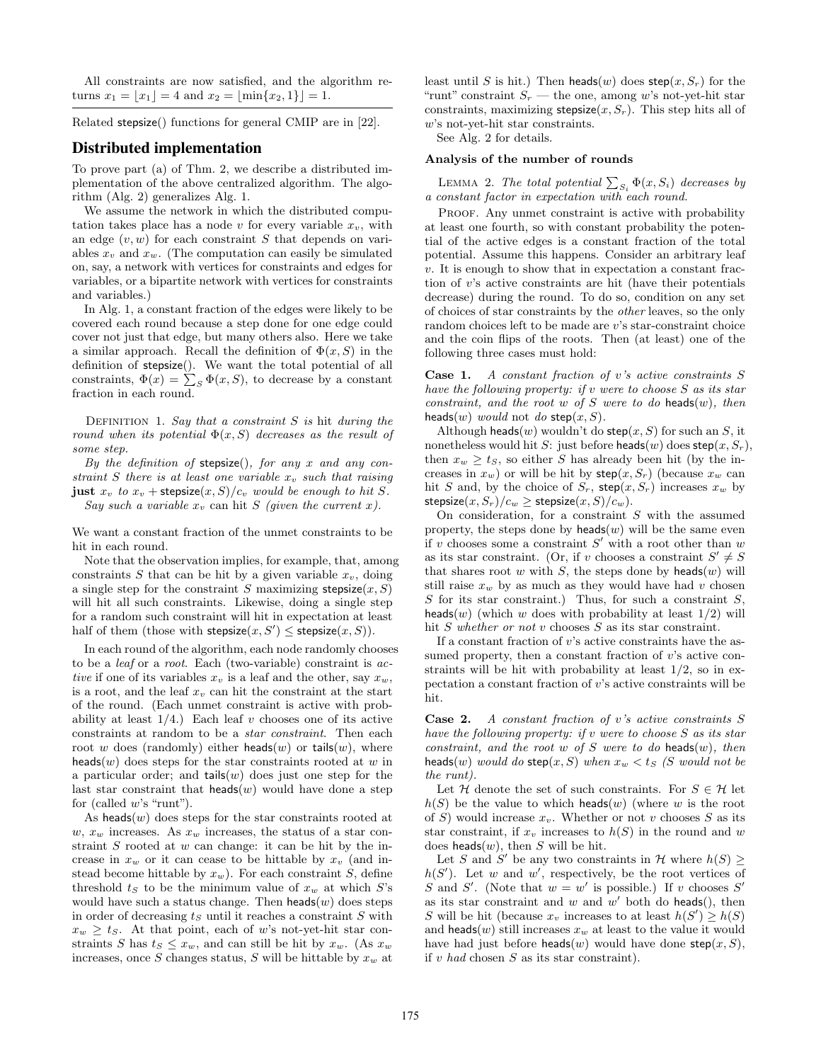All constraints are now satisfied, and the algorithm returns  $x_1 = |x_1| = 4$  and  $x_2 = |\min\{x_2, 1\}| = 1$ .

Related stepsize() functions for general CMIP are in [22].

## Distributed implementation

To prove part (a) of Thm. 2, we describe a distributed implementation of the above centralized algorithm. The algorithm (Alg. 2) generalizes Alg. 1.

We assume the network in which the distributed computation takes place has a node *v* for every variable  $x_v$ , with an edge (*v, w*) for each constraint *S* that depends on variables  $x_v$  and  $x_w$ . (The computation can easily be simulated on, say, a network with vertices for constraints and edges for variables, or a bipartite network with vertices for constraints and variables.)

In Alg. 1, a constant fraction of the edges were likely to be covered each round because a step done for one edge could cover not just that edge, but many others also. Here we take a similar approach. Recall the definition of  $\Phi(x, S)$  in the definition of stepsize(). We want the total potential of all constraints,  $\Phi(x) = \sum_{S} \Phi(x, S)$ , to decrease by a constant fraction in each round.

Definition 1. *Say that a constraint S is* hit *during the round when its potential*  $\Phi(x, S)$  *decreases as the result of some step.*

*By the definition of* stepsize()*, for any x and any constraint S there is at least one variable*  $x_v$  *such that raising* just  $x_v$  to  $x_v$  + stepsize $(x, S)/c_v$  *would be enough to hit S. Say such a variable*  $x_v$  can hit *S* (given the current *x*).

We want a constant fraction of the unmet constraints to be hit in each round.

Note that the observation implies, for example, that, among constraints  $S$  that can be hit by a given variable  $x_v$ , doing a single step for the constraint *S* maximizing stepsize $(x, S)$ will hit all such constraints. Likewise, doing a single step for a random such constraint will hit in expectation at least half of them (those with  $stepsize(x, S') \leq stepsize(x, S)$ ).

In each round of the algorithm, each node randomly chooses to be a *leaf* or a *root*. Each (two-variable) constraint is *active* if one of its variables  $x_v$  is a leaf and the other, say  $x_w$ , is a root, and the leaf *x<sup>v</sup>* can hit the constraint at the start of the round. (Each unmet constraint is active with probability at least  $1/4$ .) Each leaf *v* chooses one of its active constraints at random to be a *star constraint*. Then each root *w* does (randomly) either heads(*w*) or tails(*w*), where heads(*w*) does steps for the star constraints rooted at *w* in a particular order; and tails(*w*) does just one step for the last star constraint that  $heads(w)$  would have done a step for (called *w*'s "runt").

As heads $(w)$  does steps for the star constraints rooted at  $w, x_w$  increases. As  $x_w$  increases, the status of a star constraint *S* rooted at *w* can change: it can be hit by the increase in  $x_w$  or it can cease to be hittable by  $x_v$  (and instead become hittable by  $x_w$ ). For each constraint *S*, define threshold  $t<sub>S</sub>$  to be the minimum value of  $x<sub>w</sub>$  at which  $S<sup>s</sup>$ would have such a status change. Then  $heads(w)$  does steps in order of decreasing *t<sup>S</sup>* until it reaches a constraint *S* with  $x_w \geq t_s$ . At that point, each of *w*'s not-yet-hit star constraints *S* has  $t_s \leq x_w$ , and can still be hit by  $x_w$ . (As  $x_w$ increases, once *S* changes status, *S* will be hittable by *x<sup>w</sup>* at least until *S* is hit.) Then heads(*w*) does  $\text{step}(x, S_r)$  for the "runt" constraint  $S_r$  — the one, among w's not-yet-hit star constraints, maximizing stepsize $(x, S_r)$ . This step hits all of *w*'s not-yet-hit star constraints.

See Alg. 2 for details.

#### Analysis of the number of rounds

LEMMA 2. The total potential  $\sum_{S_i} \Phi(x, S_i)$  decreases by *a constant factor in expectation with each round.*

PROOF. Any unmet constraint is active with probability at least one fourth, so with constant probability the potential of the active edges is a constant fraction of the total potential. Assume this happens. Consider an arbitrary leaf *v*. It is enough to show that in expectation a constant fraction of *v*'s active constraints are hit (have their potentials decrease) during the round. To do so, condition on any set of choices of star constraints by the *other* leaves, so the only random choices left to be made are *v*'s star-constraint choice and the coin flips of the roots. Then (at least) one of the following three cases must hold:

Case 1. *A constant fraction of v's active constraints S have the following property: if v were to choose S as its star constraint, and the root w of S were to do* heads(*w*)*, then* heads(*w*) *would* not *do* step(*x*, *S*).

Although heads(*w*) wouldn't do step(*x, S*) for such an *S*, it nonetheless would hit *S*: just before heads(*w*) does  $\mathsf{step}(x, S_r)$ , then  $x_w \ge t_S$ , so either *S* has already been hit (by the increases in  $x_w$ ) or will be hit by  $\mathsf{step}(x, S_r)$  (because  $x_w$  can hit *S* and, by the choice of  $S_r$ , step $(x, S_r)$  increases  $x_w$  by  $stepsize(x, S_r)/c_w \geq stepsize(x, S)/c_w$ .

On consideration, for a constraint *S* with the assumed property, the steps done by  $heads(w)$  will be the same even if *v* chooses some a constraint  $S'$  with a root other than  $w$ as its star constraint. (Or, if *v* chooses a constraint  $S' \neq S$ that shares root  $w$  with  $S$ , the steps done by heads( $w$ ) will still raise  $x_w$  by as much as they would have had *v* chosen *S* for its star constraint.) Thus, for such a constraint *S*, heads(*w*) (which *w* does with probability at least  $1/2$ ) will hit *S whether or not v* chooses *S* as its star constraint.

If a constant fraction of *v*'s active constraints have the assumed property, then a constant fraction of *v*'s active constraints will be hit with probability at least  $1/2$ , so in expectation a constant fraction of *v*'s active constraints will be hit.

Case 2. *A constant fraction of v's active constraints S have the following property: if v were to choose S as its star constraint, and the root w of S were to do* heads(*w*)*, then* heads(*w*) *would do* step(*x*, *S*) *when*  $x_w < t_s$  (*S would not be the runt).*

Let *H* denote the set of such constraints. For  $S \in \mathcal{H}$  let  $h(S)$  be the value to which heads(*w*) (where *w* is the root of *S*) would increase  $x<sub>v</sub>$ . Whether or not *v* chooses *S* as its star constraint, if  $x_v$  increases to  $h(S)$  in the round and  $w$ does heads(*w*), then *S* will be hit.

Let *S* and *S'* be any two constraints in  $H$  where  $h(S)$  $h(S')$ . Let *w* and *w'*, respectively, be the root vertices of *S* and *S'*. (Note that  $w = w'$  is possible.) If *v* chooses *S'* as its star constraint and  $w$  and  $w'$  both do heads(), then *S* will be hit (because  $x_v$  increases to at least  $h(S') \geq h(S)$ and **heads** $(w)$  still increases  $x_w$  at least to the value it would have had just before heads(*w*) would have done step(*x*, *S*), if *v had* chosen *S* as its star constraint).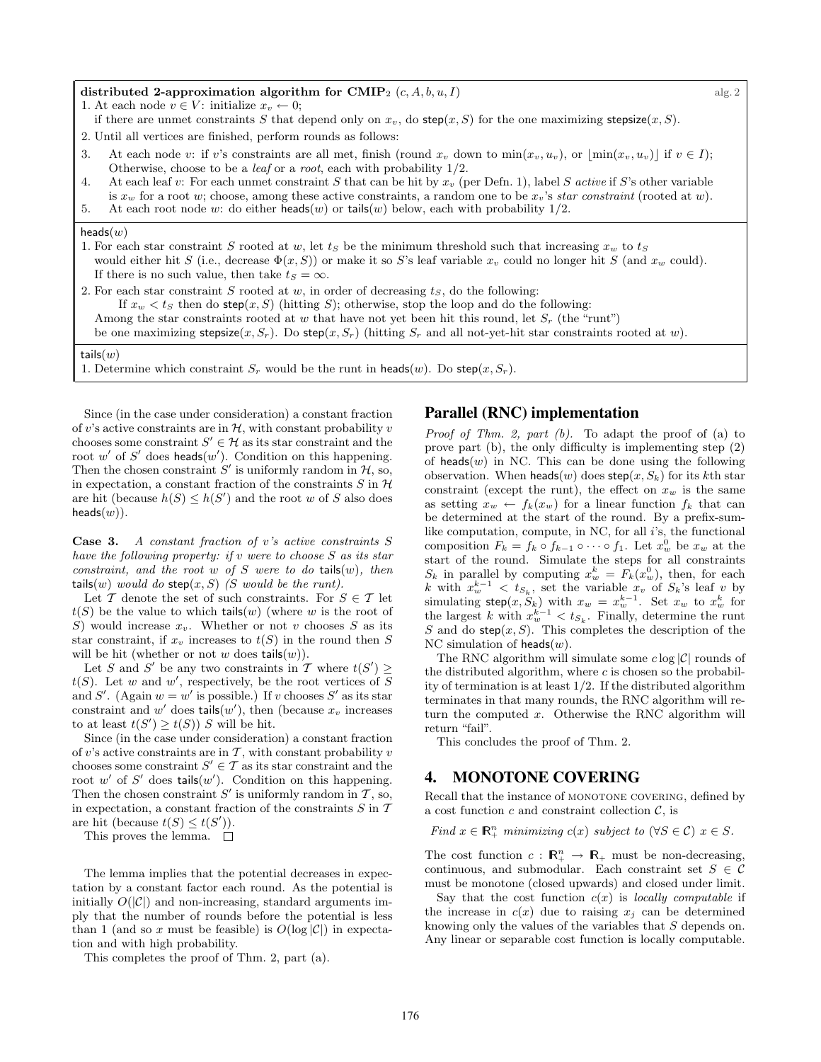#### distributed 2-approximation algorithm for  $\text{CMIP}_2$   $(c, A, b, u, I)$  alg. 2

1. At each node  $v \in V$ : initialize  $x_v \leftarrow 0$ ;

- if there are unmet constraints *S* that depend only on  $x<sub>v</sub>$ , do step(*x*, *S*) for the one maximizing stepsize(*x*, *S*).
- 2. Until all vertices are finished, perform rounds as follows:
- 3. At each node *v*: if *v*'s constraints are all met, finish (round  $x_v$  down to  $\min(x_v, u_v)$ , or  $\left[\min(x_v, u_v)\right]$  if  $v \in I$ ); Otherwise, choose to be a *leaf* or a *root*, each with probability 1/2.
- 4. At each leaf *v*: For each unmet constraint *S* that can be hit by *x<sup>v</sup>* (per Defn. 1), label *S active* if *S*'s other variable is *x<sup>w</sup>* for a root *w*; choose, among these active constraints, a random one to be *xv*'s *star constraint* (rooted at *w*).
- 5. At each root node *w*: do either heads(*w*) or tails(*w*) below, each with probability 1/2.

#### heads(*w*)

| 1. For each star constraint S rooted at w, let $t_s$ be the minimum threshold such that increasing $x_w$ to $t_s$                |
|----------------------------------------------------------------------------------------------------------------------------------|
| would either hit S (i.e., decrease $\Phi(x, S)$ ) or make it so S's leaf variable $x_v$ could no longer hit S (and $x_w$ could). |
| If there is no such value, then take $t_s = \infty$ .                                                                            |
| $\blacksquare$<br>$\sim$ $\blacksquare$                                                                                          |

2. For each star constraint *S* rooted at *w*, in order of decreasing *tS*, do the following:

If  $x_w < t_S$  then do step $(x, S)$  (hitting *S*); otherwise, stop the loop and do the following:

Among the star constraints rooted at *w* that have not yet been hit this round, let  $S_r$  (the "runt")

be one maximizing stepsize(*x*, *S<sub>r</sub>*). Do step(*x*, *S<sub>r</sub>*) (hitting *S<sub>r</sub>* and all not-yet-hit star constraints rooted at *w*).

#### tails(*w*)

1. Determine which constraint  $S_r$  would be the runt in heads(*w*). Do step(*x*,  $S_r$ ).

Since (in the case under consideration) a constant fraction of *v*'s active constraints are in  $H$ , with constant probability *v* chooses some constraint  $S' \in \mathcal{H}$  as its star constraint and the root  $w'$  of  $S'$  does heads $(w')$ . Condition on this happening. Then the chosen constraint  $S'$  is uniformly random in  $H$ , so, in expectation, a constant fraction of the constraints  $S$  in  $H$ are hit (because  $h(S) \leq h(S')$  and the root *w* of *S* also does  $heads(w)$ ).

Case 3. *A constant fraction of v's active constraints S have the following property: if v were to choose S as its star constraint, and the root w of S were to do* tails(*w*)*, then* tails(*w*) *would do* step(*x*, *S*) *(S would be the runt).* 

Let  $\mathcal T$  denote the set of such constraints. For  $S \in \mathcal T$  let  $t(S)$  be the value to which tails(*w*) (where *w* is the root of *S*) would increase  $x_v$ . Whether or not *v* chooses *S* as its star constraint, if  $x_v$  increases to  $t(S)$  in the round then *S* will be hit (whether or not  $w$  does tails $(w)$ ).

Let *S* and *S'* be any two constraints in *T* where  $t(S') \geq$  $t(S)$ . Let *w* and *w*<sup>'</sup>, respectively, be the root vertices of *S* and *S'*. (Again  $w = w'$  is possible.) If *v* chooses *S'* as its star constraint and  $w'$  does tails $(w')$ , then (because  $x_v$  increases to at least  $t(S') \geq t(S)$ ) *S* will be hit.

Since (in the case under consideration) a constant fraction of  $v$ 's active constraints are in  $\mathcal T$ , with constant probability  $v$ chooses some constraint  $S' \in \mathcal{T}$  as its star constraint and the root  $w'$  of  $S'$  does tails $(w')$ . Condition on this happening. Then the chosen constraint  $S'$  is uniformly random in  $\mathcal{T}$ , so, in expectation, a constant fraction of the constraints *S* in *T* are hit (because  $t(S) \leq t(S')$ ).

This proves the lemma.  $\square$ 

The lemma implies that the potential decreases in expectation by a constant factor each round. As the potential is initially  $O(|\mathcal{C}|)$  and non-increasing, standard arguments imply that the number of rounds before the potential is less than 1 (and so x must be feasible) is  $O(\log |\mathcal{C}|)$  in expectation and with high probability.

This completes the proof of Thm. 2, part (a).

#### Parallel (RNC) implementation

*Proof of Thm. 2, part (b).* To adapt the proof of (a) to prove part  $(b)$ , the only difficulty is implementing step  $(2)$ of  $heads(w)$  in NC. This can be done using the following observation. When  $\text{heads}(w)$  does  $\text{step}(x, S_k)$  for its *k*th star constraint (except the runt), the effect on  $x_w$  is the same as setting  $x_w \leftarrow f_k(x_w)$  for a linear function  $f_k$  that can be determined at the start of the round. By a prefix-sumlike computation, compute, in NC, for all *i*'s, the functional composition  $F_k = f_k \circ f_{k-1} \circ \cdots \circ f_1$ . Let  $x_w^0$  be  $x_w$  at the start of the round. Simulate the steps for all constraints  $S_k$  in parallel by computing  $x_w^k = F_k(x_w^0)$ , then, for each *k* with  $x_w^{k-1} < t_{S_k}$ , set the variable  $x_v$  of  $S_k$ 's leaf *v* by simulating  $\mathsf{step}(x, S_k)$  with  $x_w = x_w^{k-1}$ . Set  $x_w$  to  $x_w^k$  for the largest *k* with  $x_w^{k-1} < t_{S_k}$ . Finally, determine the runt *S* and do step $(x, S)$ . This completes the description of the NC simulation of heads(*w*).

The RNC algorithm will simulate some *c* log *|C|* rounds of the distributed algorithm, where *c* is chosen so the probability of termination is at least 1/2. If the distributed algorithm terminates in that many rounds, the RNC algorithm will return the computed *x*. Otherwise the RNC algorithm will return "fail".

This concludes the proof of Thm. 2.

#### 4. MONOTONE COVERING

Recall that the instance of MONOTONE COVERING, defined by a cost function  $c$  and constraint collection  $\mathcal{C}$ , is

*Find*  $x \in \mathbb{R}_+^n$  *minimizing*  $c(x)$  *subject to*  $(\forall S \in \mathcal{C})$   $x \in S$ *.* 

The cost function  $c : \mathbb{R}^n_+ \to \mathbb{R}_+$  must be non-decreasing, continuous, and submodular. Each constraint set  $S \in \mathcal{C}$ must be monotone (closed upwards) and closed under limit.

Say that the cost function  $c(x)$  is *locally computable* if the increase in  $c(x)$  due to raising  $x_j$  can be determined knowing only the values of the variables that *S* depends on. Any linear or separable cost function is locally computable.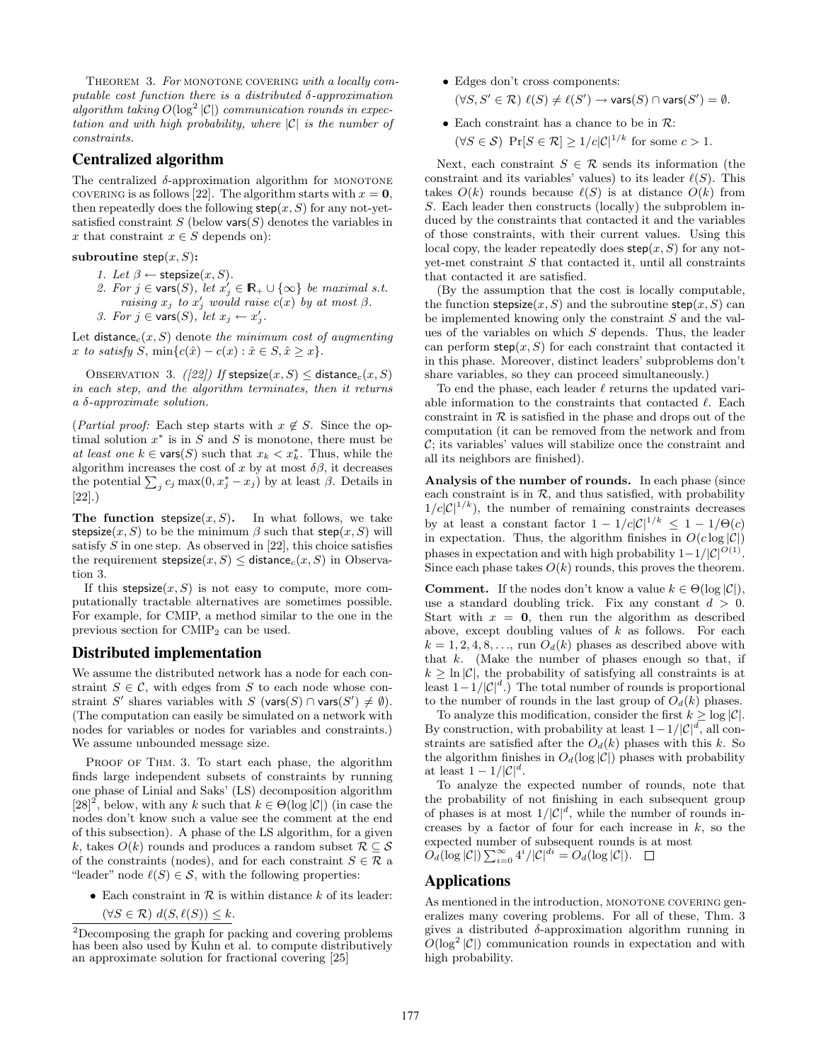THEOREM 3. For MONOTONE COVERING with a locally computable cost function there is a distributed  $\delta$ -approximation  $a$ *lgorithm taking*  $O(\log^2 |\mathcal{C}|)$  *communication rounds in expectation and with high probability, where |C| is the number of constraints.*

## Centralized algorithm

The centralized  $\delta$ -approximation algorithm for MONOTONE covering is as follows [22]. The algorithm starts with  $x = 0$ , then repeatedly does the following  $\mathsf{step}(x, S)$  for any not-yetsatisfied constraint  $S$  (below vars $(S)$  denotes the variables in x that constraint  $x \in S$  depends on):

#### subroutine  $step(x, S)$ :

- *1. Let*  $\beta \leftarrow$  stepsize $(x, S)$ *.*
- 2. For  $j \in \text{vars}(S)$ , let  $x'_j \in \mathbb{R}_+ \cup \{\infty\}$  be maximal s.t. *raising*  $x_j$  *to*  $x'_j$  *would raise*  $c(x)$  *by at most*  $\beta$ . *3. For*  $j \in \text{vars}(S)$ , let  $x_j \leftarrow x'_j$ .

Let  $distance_c(x, S)$  denote *the minimum cost of augmenting*  $x \text{ to satisfy } S, \min\{c(\hat{x}) - c(x) : \hat{x} \in S, \hat{x} \geq x\}.$ 

OBSERVATION 3. *([22])* If stepsize $(x, S) \leq$  distance<sub>c</sub> $(x, S)$ *in each step, and the algorithm terminates, then it returns a -approximate solution.*

(*Partial proof:* Each step starts with  $x \notin S$ . Since the optimal solution  $x^*$  is in  $S$  and  $S$  is monotone, there must be *at least one*  $k \in \text{vars}(S)$  such that  $x_k < x_k^*$ . Thus, while the algorithm increases the cost of  $x$  by at most  $\delta\beta$ , it decreases the potential  $\sum_j c_j \max(0, x_j^* - x_j)$  by at least  $\beta$ . Details in [22].)

The function stepsize $(x, S)$ . In what follows, we take stepsize $(x, S)$  to be the minimum  $\beta$  such that step $(x, S)$  will satisfy *S* in one step. As observed in [22], this choice satisfies the requirement stepsize $(x, S) \leq$  distance<sub>c</sub> $(x, S)$  in Observation 3.

If this stepsize $(x, S)$  is not easy to compute, more computationally tractable alternatives are sometimes possible. For example, for CMIP, a method similar to the one in the previous section for  $CMIP<sub>2</sub>$  can be used.

## Distributed implementation

We assume the distributed network has a node for each constraint  $S \in \mathcal{C}$ , with edges from *S* to each node whose constraint *S'* shares variables with *S* (vars(*S*)  $\cap$  vars(*S'*)  $\neq \emptyset$ ). (The computation can easily be simulated on a network with nodes for variables or nodes for variables and constraints.) We assume unbounded message size.

PROOF OF THM. 3. To start each phase, the algorithm finds large independent subsets of constraints by running one phase of Linial and Saks' (LS) decomposition algorithm  $[28]^2$ , below, with any *k* such that  $k \in \Theta(\log |\mathcal{C}|)$  (in case the nodes don't know such a value see the comment at the end of this subsection). A phase of the LS algorithm, for a given *k*, takes  $O(k)$  rounds and produces a random subset  $R \subseteq S$ of the constraints (nodes), and for each constraint  $S \in \mathcal{R}$  a "leader" node  $\ell(S) \in \mathcal{S}$ , with the following properties:

- *•* Each constraint in *R* is within distance *k* of its leader:
	- $(\forall S \in \mathcal{R}) \ d(S, \ell(S)) \leq k.$
- *•* Edges don't cross components:  $(\forall S, S' \in \mathcal{R}) \ell(S) \neq \ell(S') \rightarrow \mathsf{vars}(S) \cap \mathsf{vars}(S') = \emptyset.$
- *•* Each constraint has a chance to be in *R*:  $(\forall S \in \mathcal{S})$  Pr $[S \in \mathcal{R}] > 1/c|\mathcal{C}|^{1/k}$  for some  $c > 1$ .

Next, each constraint  $S \in \mathcal{R}$  sends its information (the constraint and its variables' values) to its leader  $\ell(S)$ . This takes  $O(k)$  rounds because  $\ell(S)$  is at distance  $O(k)$  from *S*. Each leader then constructs (locally) the subproblem induced by the constraints that contacted it and the variables of those constraints, with their current values. Using this local copy, the leader repeatedly does  $\mathsf{step}(x, S)$  for any notyet-met constraint *S* that contacted it, until all constraints that contacted it are satisfied.

(By the assumption that the cost is locally computable, the function stepsize $(x, S)$  and the subroutine step $(x, S)$  can be implemented knowing only the constraint *S* and the values of the variables on which *S* depends. Thus, the leader can perform  $\mathsf{step}(x, S)$  for each constraint that contacted it in this phase. Moreover, distinct leaders' subproblems don't share variables, so they can proceed simultaneously.)

To end the phase, each leader  $\ell$  returns the updated variable information to the constraints that contacted  $\ell$ . Each constraint in  $R$  is satisfied in the phase and drops out of the computation (it can be removed from the network and from *C*; its variables' values will stabilize once the constraint and all its neighbors are finished).

Analysis of the number of rounds. In each phase (since each constraint is in  $R$ , and thus satisfied, with probability  $1/c|\mathcal{C}|^{1/k}$ , the number of remaining constraints decreases by at least a constant factor  $1 - 1/c|\mathcal{C}|^{1/k} \leq 1 - 1/\Theta(c)$ in expectation. Thus, the algorithm finishes in  $O(c \log |\mathcal{C}|)$ phases in expectation and with high probability  $1-1/|\mathcal{C}|^{O(1)}$ . Since each phase takes  $O(k)$  rounds, this proves the theorem.

**Comment.** If the nodes don't know a value  $k \in \Theta(\log |\mathcal{C}|),$ use a standard doubling trick. Fix any constant *d >* 0. Start with  $x = 0$ , then run the algorithm as described above, except doubling values of *k* as follows. For each  $k = 1, 2, 4, 8, \ldots$ , run  $O_d(k)$  phases as described above with that *k*. (Make the number of phases enough so that, if  $k \geq \ln |\mathcal{C}|$ , the probability of satisfying all constraints is at least  $1-1/|\mathcal{C}|^d$ .) The total number of rounds is proportional to the number of rounds in the last group of  $O_d(k)$  phases.

To analyze this modification, consider the first  $k \geq \log |\mathcal{C}|$ . By construction, with probability at least  $1-1/|\mathcal{C}|^d$ , all constraints are satisfied after the  $O_d(k)$  phases with this *k*. So the algorithm finishes in  $O_d(\log |\mathcal{C}|)$  phases with probability at least  $1 - 1/|\mathcal{C}|^d$ .

To analyze the expected number of rounds, note that the probability of not finishing in each subsequent group of phases is at most  $1/|\mathcal{C}|^d$ , while the number of rounds increases by a factor of four for each increase in *k*, so the expected number of subsequent rounds is at most  $O_d(\log |\mathcal{C}|) \sum_{i=0}^{\infty} 4^i / |\mathcal{C}|^{di} = O_d(\log |\mathcal{C}|).$ 

## Applications

As mentioned in the introduction, MONOTONE COVERING generalizes many covering problems. For all of these, Thm. 3 gives a distributed  $\delta$ -approximation algorithm running in  $O(\log^2 |\mathcal{C}|)$  communication rounds in expectation and with high probability.

<sup>2</sup>Decomposing the graph for packing and covering problems has been also used by Kuhn et al. to compute distributively an approximate solution for fractional covering [25]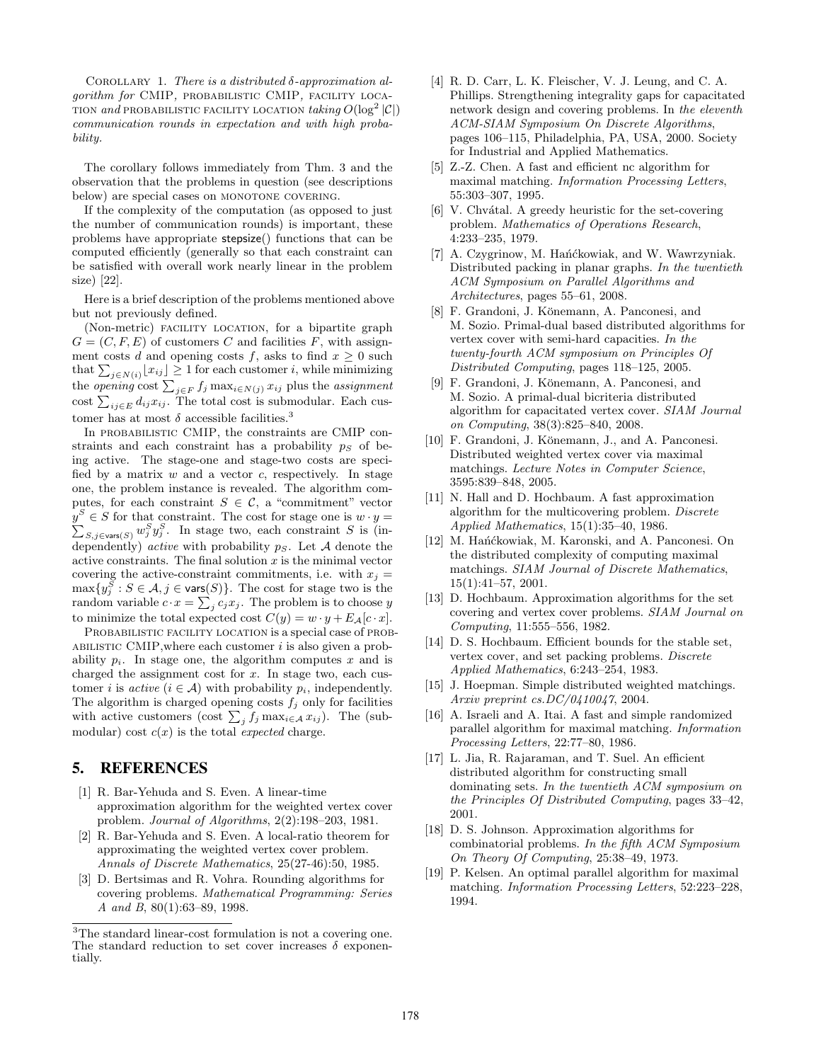COROLLARY 1. *There is a distributed*  $\delta$ -approximation al*gorithm for* CMIP*,* probabilistic CMIP*,* facility loca-TION *and* PROBABILISTIC FACILITY LOCATION  $\text{taking } O(\log^2 |\mathcal{C}|)$ *communication rounds in expectation and with high probability.*

The corollary follows immediately from Thm. 3 and the observation that the problems in question (see descriptions below) are special cases on MONOTONE COVERING.

If the complexity of the computation (as opposed to just the number of communication rounds) is important, these problems have appropriate stepsize() functions that can be computed efficiently (generally so that each constraint can be satisfied with overall work nearly linear in the problem size) [22].

Here is a brief description of the problems mentioned above but not previously defined.

(Non-metric) facility location, for a bipartite graph  $G = (C, F, E)$  of customers *C* and facilities *F*, with assignment costs *d* and opening costs *f*, asks to find  $x \geq 0$  such that  $\sum_{j \in N(i)} \lfloor x_{ij} \rfloor \geq 1$  for each customer *i*, while minimizing the *opening* cost  $\sum_{j \in F} f_j \max_{i \in N(j)} x_{ij}$  plus the *assignment* cost  $\sum_{ij \in E} d_{ij} x_{ij}$ . The total cost is subnodular. Each customer has at most  $\delta$  accessible facilities.<sup>3</sup>

In probabilistic CMIP, the constraints are CMIP constraints and each constraint has a probability  $p<sub>S</sub>$  of being active. The stage-one and stage-two costs are specified by a matrix *w* and a vector *c*, respectively. In stage one, the problem instance is revealed. The algorithm computes, for each constraint  $S \in \mathcal{C}$ , a "commitment" vector  $y^S \in S$  for that constraint. The cost for stage one is  $w \cdot y =$  $\sum_{S,j\in\text{vars}(S)} w_j^S y_j^S$ . In stage two, each constraint *S* is (independently) *active* with probability *pS*. Let *A* denote the active constraints. The final solution *x* is the minimal vector covering the active-constraint commitments, i.e. with  $x_j =$  $\max\{y_j^S : S \in \mathcal{A}, j \in \text{vars}(S)\}\.$  The cost for stage two is the random variable  $c \cdot x = \sum_j c_j x_j$ . The problem is to choose *y* to minimize the total expected cost  $C(y) = w \cdot y + E_{\mathcal{A}}[c \cdot x]$ .

PROBABILISTIC FACILITY LOCATION is a special case of PROBabilistic CMIP,where each customer *i* is also given a probability  $p_i$ . In stage one, the algorithm computes  $x$  and is charged the assignment cost for *x*. In stage two, each customer *i* is *active*  $(i \in \mathcal{A})$  with probability  $p_i$ , independently. The algorithm is charged opening costs  $f_j$  only for facilities with active customers (cost  $\sum_j f_j \max_{i \in \mathcal{A}} x_{ij}$ ). The (submodular) cost  $c(x)$  is the total *expected* charge.

# 5. REFERENCES

- [1] R. Bar-Yehuda and S. Even. A linear-time approximation algorithm for the weighted vertex cover problem. *Journal of Algorithms*, 2(2):198–203, 1981.
- [2] R. Bar-Yehuda and S. Even. A local-ratio theorem for approximating the weighted vertex cover problem. *Annals of Discrete Mathematics*, 25(27-46):50, 1985.
- [3] D. Bertsimas and R. Vohra. Rounding algorithms for covering problems. *Mathematical Programming: Series A and B*, 80(1):63–89, 1998.
- [4] R. D. Carr, L. K. Fleischer, V. J. Leung, and C. A. Phillips. Strengthening integrality gaps for capacitated network design and covering problems. In *the eleventh ACM-SIAM Symposium On Discrete Algorithms*, pages 106–115, Philadelphia, PA, USA, 2000. Society for Industrial and Applied Mathematics.
- [5] Z.-Z. Chen. A fast and efficient nc algorithm for maximal matching. *Information Processing Letters*, 55:303–307, 1995.
- $[6]$  V. Chvátal. A greedy heuristic for the set-covering problem. *Mathematics of Operations Research*, 4:233–235, 1979.
- [7] A. Czygrinow, M. Hańćkowiak, and W. Wawrzyniak. Distributed packing in planar graphs. *In the twentieth ACM Symposium on Parallel Algorithms and Architectures*, pages 55–61, 2008.
- [8] F. Grandoni, J. Könemann, A. Panconesi, and M. Sozio. Primal-dual based distributed algorithms for vertex cover with semi-hard capacities. *In the twenty-fourth ACM symposium on Principles Of Distributed Computing*, pages 118–125, 2005.
- [9] F. Grandoni, J. Könemann, A. Panconesi, and M. Sozio. A primal-dual bicriteria distributed algorithm for capacitated vertex cover. *SIAM Journal on Computing*, 38(3):825–840, 2008.
- [10] F. Grandoni, J. Könemann, J., and A. Panconesi. Distributed weighted vertex cover via maximal matchings. *Lecture Notes in Computer Science*, 3595:839–848, 2005.
- [11] N. Hall and D. Hochbaum. A fast approximation algorithm for the multicovering problem. *Discrete Applied Mathematics*, 15(1):35–40, 1986.
- [12] M. Hańćkowiak, M. Karonski, and A. Panconesi. On the distributed complexity of computing maximal matchings. *SIAM Journal of Discrete Mathematics*, 15(1):41–57, 2001.
- [13] D. Hochbaum. Approximation algorithms for the set covering and vertex cover problems. *SIAM Journal on Computing*, 11:555–556, 1982.
- [14] D. S. Hochbaum. Efficient bounds for the stable set, vertex cover, and set packing problems. *Discrete Applied Mathematics*, 6:243–254, 1983.
- [15] J. Hoepman. Simple distributed weighted matchings. *Arxiv preprint cs.DC/0410047*, 2004.
- [16] A. Israeli and A. Itai. A fast and simple randomized parallel algorithm for maximal matching. *Information Processing Letters*, 22:77–80, 1986.
- [17] L. Jia, R. Rajaraman, and T. Suel. An efficient distributed algorithm for constructing small dominating sets. *In the twentieth ACM symposium on the Principles Of Distributed Computing*, pages 33–42, 2001.
- [18] D. S. Johnson. Approximation algorithms for combinatorial problems. *In the fifth ACM Symposium On Theory Of Computing*, 25:38–49, 1973.
- [19] P. Kelsen. An optimal parallel algorithm for maximal matching. *Information Processing Letters*, 52:223–228, 1994.

<sup>&</sup>lt;sup>3</sup>The standard linear-cost formulation is not a covering one. The standard reduction to set cover increases  $\delta$  exponentially.